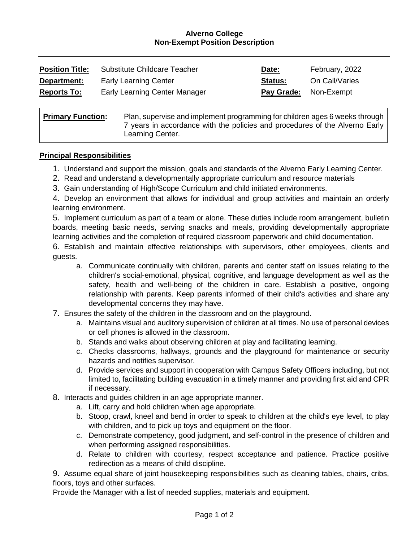### **Alverno College Non-Exempt Position Description**

| <b>Position Title:</b>                                                                                  | Substitute Childcare Teacher         | Date:      | February, 2022 |
|---------------------------------------------------------------------------------------------------------|--------------------------------------|------------|----------------|
| Department:                                                                                             | <b>Early Learning Center</b>         | Status:    | On Call/Varies |
| <b>Reports To:</b>                                                                                      | <b>Early Learning Center Manager</b> | Pay Grade: | Non-Exempt     |
| <b>Primary Function:</b><br>Plan, supervise and implement programming for children ages 6 weeks through |                                      |            |                |

Prvise and implement programming for children ages 6 weeks through 7 years in accordance with the policies and procedures of the Alverno Early Learning Center.

#### **Principal Responsibilities**

- 1. Understand and support the mission, goals and standards of the Alverno Early Learning Center.
- 2. Read and understand a developmentally appropriate curriculum and resource materials
- 3. Gain understanding of High/Scope Curriculum and child initiated environments.

4. Develop an environment that allows for individual and group activities and maintain an orderly learning environment.

5. Implement curriculum as part of a team or alone. These duties include room arrangement, bulletin boards, meeting basic needs, serving snacks and meals, providing developmentally appropriate learning activities and the completion of required classroom paperwork and child documentation.

6. Establish and maintain effective relationships with supervisors, other employees, clients and guests.

- a. Communicate continually with children, parents and center staff on issues relating to the children's social-emotional, physical, cognitive, and language development as well as the safety, health and well-being of the children in care. Establish a positive, ongoing relationship with parents. Keep parents informed of their child's activities and share any developmental concerns they may have.
- 7. Ensures the safety of the children in the classroom and on the playground.
	- a. Maintains visual and auditory supervision of children at all times. No use of personal devices or cell phones is allowed in the classroom.
	- b. Stands and walks about observing children at play and facilitating learning.
	- c. Checks classrooms, hallways, grounds and the playground for maintenance or security hazards and notifies supervisor.
	- d. Provide services and support in cooperation with Campus Safety Officers including, but not limited to, facilitating building evacuation in a timely manner and providing first aid and CPR if necessary.
- 8. Interacts and guides children in an age appropriate manner.
	- a. Lift, carry and hold children when age appropriate.
	- b. Stoop, crawl, kneel and bend in order to speak to children at the child's eye level, to play with children, and to pick up toys and equipment on the floor.
	- c. Demonstrate competency, good judgment, and self-control in the presence of children and when performing assigned responsibilities.
	- d. Relate to children with courtesy, respect acceptance and patience. Practice positive redirection as a means of child discipline.

9. Assume equal share of joint housekeeping responsibilities such as cleaning tables, chairs, cribs, floors, toys and other surfaces.

Provide the Manager with a list of needed supplies, materials and equipment.